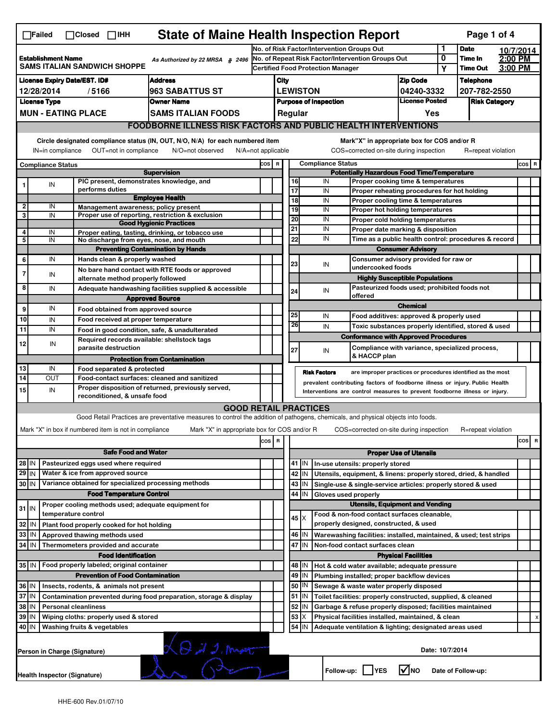| <b>State of Maine Health Inspection Report</b><br>Page 1 of 4<br>$\Box$ Failed<br>$\Box$ Closed $\Box$ IHH                                                                                                                                                                                |                                                                                   |  |                                                       |                                                                                                                                                                   |                                                                            |                                                                                                                                             |                                   |                                             |                                          |                                                                    |                                                                       |                      |                    |           |         |   |
|-------------------------------------------------------------------------------------------------------------------------------------------------------------------------------------------------------------------------------------------------------------------------------------------|-----------------------------------------------------------------------------------|--|-------------------------------------------------------|-------------------------------------------------------------------------------------------------------------------------------------------------------------------|----------------------------------------------------------------------------|---------------------------------------------------------------------------------------------------------------------------------------------|-----------------------------------|---------------------------------------------|------------------------------------------|--------------------------------------------------------------------|-----------------------------------------------------------------------|----------------------|--------------------|-----------|---------|---|
|                                                                                                                                                                                                                                                                                           |                                                                                   |  |                                                       |                                                                                                                                                                   |                                                                            | No. of Risk Factor/Intervention Groups Out                                                                                                  |                                   |                                             |                                          |                                                                    |                                                                       | 1                    | <b>Date</b>        | 10/7/2014 |         |   |
| <b>Establishment Name</b><br>As Authorized by 22 MRSA § 2496<br><b>SAMS ITALIAN SANDWICH SHOPPE</b>                                                                                                                                                                                       |                                                                                   |  |                                                       |                                                                                                                                                                   |                                                                            | No. of Repeat Risk Factor/Intervention Groups Out                                                                                           |                                   |                                             |                                          |                                                                    |                                                                       | 0                    | Time In            | 2:00 PM   |         |   |
|                                                                                                                                                                                                                                                                                           |                                                                                   |  |                                                       |                                                                                                                                                                   |                                                                            |                                                                                                                                             |                                   |                                             | <b>Certified Food Protection Manager</b> |                                                                    |                                                                       | Υ                    | <b>Time Out</b>    | 3:00 PM   |         |   |
| <b>License Expiry Date/EST. ID#</b><br><b>Address</b>                                                                                                                                                                                                                                     |                                                                                   |  |                                                       |                                                                                                                                                                   |                                                                            | <b>Zip Code</b><br>City                                                                                                                     |                                   |                                             |                                          |                                                                    |                                                                       |                      | <b>Telephone</b>   |           |         |   |
| 963 SABATTUS ST<br>12/28/2014<br>/5166                                                                                                                                                                                                                                                    |                                                                                   |  |                                                       |                                                                                                                                                                   |                                                                            | <b>LEWISTON</b><br>04240-3332                                                                                                               |                                   |                                             |                                          |                                                                    | 207-782-2550                                                          |                      |                    |           |         |   |
| <b>License Type</b><br><b>Owner Name</b>                                                                                                                                                                                                                                                  |                                                                                   |  |                                                       |                                                                                                                                                                   |                                                                            | <b>License Posted</b><br><b>Purpose of Inspection</b><br>Regular                                                                            |                                   |                                             |                                          |                                                                    |                                                                       | <b>Risk Category</b> |                    |           |         |   |
|                                                                                                                                                                                                                                                                                           | <b>MUN - EATING PLACE</b><br>SAMS ITALIAN FOODS                                   |  |                                                       |                                                                                                                                                                   |                                                                            |                                                                                                                                             |                                   |                                             |                                          |                                                                    | Yes                                                                   |                      |                    |           |         |   |
|                                                                                                                                                                                                                                                                                           | <b>FOODBORNE ILLNESS RISK FACTORS AND PUBLIC HEALTH INTERVENTIONS</b>             |  |                                                       |                                                                                                                                                                   |                                                                            |                                                                                                                                             |                                   |                                             |                                          |                                                                    |                                                                       |                      |                    |           |         |   |
| Circle designated compliance status (IN, OUT, N/O, N/A) for each numbered item<br>Mark"X" in appropriate box for COS and/or R<br>OUT=not in compliance<br>COS=corrected on-site during inspection<br>IN=in compliance<br>N/O=not observed<br>$N/A = not$ applicable<br>R=repeat violation |                                                                                   |  |                                                       |                                                                                                                                                                   |                                                                            |                                                                                                                                             |                                   |                                             |                                          |                                                                    |                                                                       |                      |                    |           |         |   |
|                                                                                                                                                                                                                                                                                           | <b>Compliance Status</b>                                                          |  |                                                       |                                                                                                                                                                   |                                                                            |                                                                                                                                             | <b>Compliance Status</b><br>COS R |                                             |                                          |                                                                    |                                                                       |                      |                    |           | $cos$ R |   |
| <b>Supervision</b>                                                                                                                                                                                                                                                                        |                                                                                   |  |                                                       |                                                                                                                                                                   |                                                                            | <b>Potentially Hazardous Food Time/Temperature</b>                                                                                          |                                   |                                             |                                          |                                                                    |                                                                       |                      |                    |           |         |   |
|                                                                                                                                                                                                                                                                                           | ${\sf IN}$                                                                        |  | PIC present, demonstrates knowledge, and              |                                                                                                                                                                   |                                                                            |                                                                                                                                             | 16                                |                                             | IN                                       |                                                                    | Proper cooking time & temperatures                                    |                      |                    |           |         |   |
|                                                                                                                                                                                                                                                                                           |                                                                                   |  | performs duties                                       | <b>Employee Health</b>                                                                                                                                            |                                                                            |                                                                                                                                             | 17                                |                                             | IN                                       |                                                                    | Proper reheating procedures for hot holding                           |                      |                    |           |         |   |
| 2                                                                                                                                                                                                                                                                                         | IN                                                                                |  | Management awareness; policy present                  |                                                                                                                                                                   |                                                                            |                                                                                                                                             | $\overline{18}$<br>19             |                                             | IN<br>IN                                 |                                                                    | Proper cooling time & temperatures                                    |                      |                    |           |         |   |
| 3                                                                                                                                                                                                                                                                                         | IN                                                                                |  |                                                       | Proper use of reporting, restriction & exclusion                                                                                                                  |                                                                            |                                                                                                                                             | 20                                |                                             | IN                                       |                                                                    | Proper hot holding temperatures                                       |                      |                    |           |         |   |
|                                                                                                                                                                                                                                                                                           |                                                                                   |  |                                                       | <b>Good Hygienic Practices</b>                                                                                                                                    |                                                                            |                                                                                                                                             | 21                                |                                             | IN                                       |                                                                    | Proper cold holding temperatures<br>Proper date marking & disposition |                      |                    |           |         |   |
| 4<br>5                                                                                                                                                                                                                                                                                    | IN<br>IN                                                                          |  | No discharge from eyes, nose, and mouth               | Proper eating, tasting, drinking, or tobacco use                                                                                                                  |                                                                            |                                                                                                                                             | 22                                |                                             | IN                                       |                                                                    | Time as a public health control: procedures & record                  |                      |                    |           |         |   |
|                                                                                                                                                                                                                                                                                           |                                                                                   |  |                                                       | <b>Preventing Contamination by Hands</b>                                                                                                                          |                                                                            |                                                                                                                                             |                                   |                                             |                                          |                                                                    | <b>Consumer Advisory</b>                                              |                      |                    |           |         |   |
| 6                                                                                                                                                                                                                                                                                         | IN                                                                                |  | Hands clean & properly washed                         |                                                                                                                                                                   |                                                                            |                                                                                                                                             |                                   |                                             |                                          | Consumer advisory provided for raw or                              |                                                                       |                      |                    |           |         |   |
|                                                                                                                                                                                                                                                                                           |                                                                                   |  |                                                       | No bare hand contact with RTE foods or approved                                                                                                                   |                                                                            |                                                                                                                                             | 23                                |                                             | IN                                       | undercooked foods                                                  |                                                                       |                      |                    |           |         |   |
| $\overline{7}$                                                                                                                                                                                                                                                                            | IN                                                                                |  | alternate method properly followed                    |                                                                                                                                                                   |                                                                            |                                                                                                                                             |                                   |                                             |                                          |                                                                    | <b>Highly Susceptible Populations</b>                                 |                      |                    |           |         |   |
| 8                                                                                                                                                                                                                                                                                         | IN                                                                                |  |                                                       | Adequate handwashing facilities supplied & accessible                                                                                                             |                                                                            |                                                                                                                                             | 24                                |                                             | IN                                       |                                                                    | Pasteurized foods used; prohibited foods not                          |                      |                    |           |         |   |
|                                                                                                                                                                                                                                                                                           |                                                                                   |  |                                                       | <b>Approved Source</b>                                                                                                                                            |                                                                            |                                                                                                                                             |                                   |                                             |                                          | offered                                                            |                                                                       |                      |                    |           |         |   |
| 9                                                                                                                                                                                                                                                                                         | IN                                                                                |  | Food obtained from approved source                    |                                                                                                                                                                   |                                                                            |                                                                                                                                             |                                   |                                             |                                          |                                                                    | <b>Chemical</b>                                                       |                      |                    |           |         |   |
| 10                                                                                                                                                                                                                                                                                        | IN                                                                                |  | Food received at proper temperature                   |                                                                                                                                                                   |                                                                            |                                                                                                                                             | 25                                |                                             | IN                                       |                                                                    | Food additives: approved & properly used                              |                      |                    |           |         |   |
| 11                                                                                                                                                                                                                                                                                        | IN                                                                                |  | Food in good condition, safe, & unadulterated         |                                                                                                                                                                   |                                                                            |                                                                                                                                             | 26                                |                                             | IN                                       |                                                                    | Toxic substances properly identified, stored & used                   |                      |                    |           |         |   |
|                                                                                                                                                                                                                                                                                           |                                                                                   |  | Required records available: shellstock tags           |                                                                                                                                                                   |                                                                            |                                                                                                                                             |                                   |                                             |                                          |                                                                    | <b>Conformance with Approved Procedures</b>                           |                      |                    |           |         |   |
| 12                                                                                                                                                                                                                                                                                        | IN                                                                                |  | parasite destruction                                  |                                                                                                                                                                   |                                                                            |                                                                                                                                             | 27                                |                                             | IN                                       |                                                                    | Compliance with variance, specialized process,                        |                      |                    |           |         |   |
|                                                                                                                                                                                                                                                                                           |                                                                                   |  |                                                       | <b>Protection from Contamination</b>                                                                                                                              |                                                                            |                                                                                                                                             |                                   |                                             |                                          | & HACCP plan                                                       |                                                                       |                      |                    |           |         |   |
| 13                                                                                                                                                                                                                                                                                        | IN                                                                                |  | Food separated & protected                            |                                                                                                                                                                   |                                                                            |                                                                                                                                             |                                   |                                             | <b>Risk Factors</b>                      |                                                                    |                                                                       |                      |                    |           |         |   |
| $\overline{14}$                                                                                                                                                                                                                                                                           | OUT                                                                               |  | Food-contact surfaces: cleaned and sanitized          |                                                                                                                                                                   |                                                                            | are improper practices or procedures identified as the most<br>prevalent contributing factors of foodborne illness or injury. Public Health |                                   |                                             |                                          |                                                                    |                                                                       |                      |                    |           |         |   |
| 15                                                                                                                                                                                                                                                                                        | IN                                                                                |  | reconditioned, & unsafe food                          | Proper disposition of returned, previously served,                                                                                                                | Interventions are control measures to prevent foodborne illness or injury. |                                                                                                                                             |                                   |                                             |                                          |                                                                    |                                                                       |                      |                    |           |         |   |
|                                                                                                                                                                                                                                                                                           |                                                                                   |  |                                                       |                                                                                                                                                                   |                                                                            |                                                                                                                                             |                                   |                                             |                                          |                                                                    |                                                                       |                      |                    |           |         |   |
|                                                                                                                                                                                                                                                                                           |                                                                                   |  |                                                       | <b>GOOD RETAIL PRACTICES</b><br>Good Retail Practices are preventative measures to control the addition of pathogens, chemicals, and physical objects into foods. |                                                                            |                                                                                                                                             |                                   |                                             |                                          |                                                                    |                                                                       |                      |                    |           |         |   |
|                                                                                                                                                                                                                                                                                           |                                                                                   |  |                                                       |                                                                                                                                                                   |                                                                            |                                                                                                                                             |                                   |                                             |                                          |                                                                    |                                                                       |                      |                    |           |         |   |
|                                                                                                                                                                                                                                                                                           |                                                                                   |  | Mark "X" in box if numbered item is not in compliance | Mark "X" in appropriate box for COS and/or R                                                                                                                      |                                                                            |                                                                                                                                             |                                   |                                             |                                          |                                                                    | COS=corrected on-site during inspection                               |                      | R=repeat violation |           |         |   |
|                                                                                                                                                                                                                                                                                           |                                                                                   |  |                                                       |                                                                                                                                                                   | cos                                                                        | $\overline{\mathbf{R}}$                                                                                                                     |                                   |                                             |                                          |                                                                    |                                                                       |                      |                    |           | cos     | R |
| <b>Safe Food and Water</b>                                                                                                                                                                                                                                                                |                                                                                   |  |                                                       |                                                                                                                                                                   |                                                                            |                                                                                                                                             |                                   | <b>Proper Use of Utensils</b>               |                                          |                                                                    |                                                                       |                      |                    |           |         |   |
| $28$ IN                                                                                                                                                                                                                                                                                   |                                                                                   |  | Pasteurized eggs used where required                  |                                                                                                                                                                   |                                                                            |                                                                                                                                             |                                   | 41   IN                                     |                                          | In-use utensils: properly stored                                   |                                                                       |                      |                    |           |         |   |
| $29$ IN                                                                                                                                                                                                                                                                                   |                                                                                   |  | Water & ice from approved source                      |                                                                                                                                                                   |                                                                            |                                                                                                                                             | 42                                | IN                                          |                                          |                                                                    | Utensils, equipment, & linens: properly stored, dried, & handled      |                      |                    |           |         |   |
| 30 IN                                                                                                                                                                                                                                                                                     |                                                                                   |  | Variance obtained for specialized processing methods  |                                                                                                                                                                   |                                                                            |                                                                                                                                             |                                   | 43   IN                                     |                                          |                                                                    | Single-use & single-service articles: properly stored & used          |                      |                    |           |         |   |
|                                                                                                                                                                                                                                                                                           |                                                                                   |  | <b>Food Temperature Control</b>                       |                                                                                                                                                                   |                                                                            |                                                                                                                                             | 44                                | IN                                          | Gloves used properly                     |                                                                    |                                                                       |                      |                    |           |         |   |
| $31$ IN                                                                                                                                                                                                                                                                                   |                                                                                   |  | Proper cooling methods used; adequate equipment for   |                                                                                                                                                                   |                                                                            |                                                                                                                                             |                                   |                                             |                                          |                                                                    | <b>Utensils, Equipment and Vending</b>                                |                      |                    |           |         |   |
|                                                                                                                                                                                                                                                                                           |                                                                                   |  | temperature control                                   |                                                                                                                                                                   |                                                                            |                                                                                                                                             |                                   | $45 \times$                                 |                                          |                                                                    | Food & non-food contact surfaces cleanable,                           |                      |                    |           |         |   |
| 32                                                                                                                                                                                                                                                                                        | IN                                                                                |  | Plant food properly cooked for hot holding            |                                                                                                                                                                   |                                                                            |                                                                                                                                             |                                   |                                             | properly designed, constructed, & used   |                                                                    |                                                                       |                      |                    |           |         |   |
| 33                                                                                                                                                                                                                                                                                        | IN                                                                                |  | Approved thawing methods used                         |                                                                                                                                                                   |                                                                            |                                                                                                                                             |                                   | 46 IN                                       |                                          | Warewashing facilities: installed, maintained, & used; test strips |                                                                       |                      |                    |           |         |   |
| 34                                                                                                                                                                                                                                                                                        | IN                                                                                |  | Thermometers provided and accurate                    |                                                                                                                                                                   |                                                                            |                                                                                                                                             |                                   | 47<br>IN<br>Non-food contact surfaces clean |                                          |                                                                    |                                                                       |                      |                    |           |         |   |
|                                                                                                                                                                                                                                                                                           |                                                                                   |  | <b>Food Identification</b>                            |                                                                                                                                                                   |                                                                            |                                                                                                                                             |                                   |                                             |                                          |                                                                    | <b>Physical Facilities</b>                                            |                      |                    |           |         |   |
|                                                                                                                                                                                                                                                                                           |                                                                                   |  | 35 IN   Food properly labeled; original container     |                                                                                                                                                                   |                                                                            |                                                                                                                                             | 48                                | ΙN                                          |                                          |                                                                    | Hot & cold water available; adequate pressure                         |                      |                    |           |         |   |
|                                                                                                                                                                                                                                                                                           |                                                                                   |  | <b>Prevention of Food Contamination</b>               |                                                                                                                                                                   |                                                                            |                                                                                                                                             | 49                                | IN                                          |                                          |                                                                    | Plumbing installed; proper backflow devices                           |                      |                    |           |         |   |
| 36 IN                                                                                                                                                                                                                                                                                     |                                                                                   |  | Insects, rodents, & animals not present               |                                                                                                                                                                   |                                                                            |                                                                                                                                             | 50                                | IN                                          |                                          |                                                                    | Sewage & waste water properly disposed                                |                      |                    |           |         |   |
| 37 IN<br>Contamination prevented during food preparation, storage & display                                                                                                                                                                                                               |                                                                                   |  |                                                       |                                                                                                                                                                   |                                                                            |                                                                                                                                             | 51                                | IN.                                         |                                          |                                                                    | Toilet facilities: properly constructed, supplied, & cleaned          |                      |                    |           |         |   |
| 38                                                                                                                                                                                                                                                                                        | IN                                                                                |  | <b>Personal cleanliness</b>                           |                                                                                                                                                                   |                                                                            |                                                                                                                                             | 52                                | IN                                          |                                          |                                                                    | Garbage & refuse properly disposed; facilities maintained             |                      |                    |           |         |   |
| 39                                                                                                                                                                                                                                                                                        | IN                                                                                |  | Wiping cloths: properly used & stored                 |                                                                                                                                                                   |                                                                            |                                                                                                                                             | 53                                | х                                           |                                          |                                                                    | Physical facilities installed, maintained, & clean                    |                      |                    |           |         |   |
| 40 IN                                                                                                                                                                                                                                                                                     |                                                                                   |  | Washing fruits & vegetables                           |                                                                                                                                                                   |                                                                            |                                                                                                                                             | 54                                | IN                                          |                                          |                                                                    | Adequate ventilation & lighting; designated areas used                |                      |                    |           |         |   |
|                                                                                                                                                                                                                                                                                           | $\theta$ in 2. Most<br>Date: 10/7/2014<br>Person in Charge (Signature)            |  |                                                       |                                                                                                                                                                   |                                                                            |                                                                                                                                             |                                   |                                             |                                          |                                                                    |                                                                       |                      |                    |           |         |   |
|                                                                                                                                                                                                                                                                                           | l√lno<br>Follow-up:     YES<br>Date of Follow-up:<br>Health Inspector (Signature) |  |                                                       |                                                                                                                                                                   |                                                                            |                                                                                                                                             |                                   |                                             |                                          |                                                                    |                                                                       |                      |                    |           |         |   |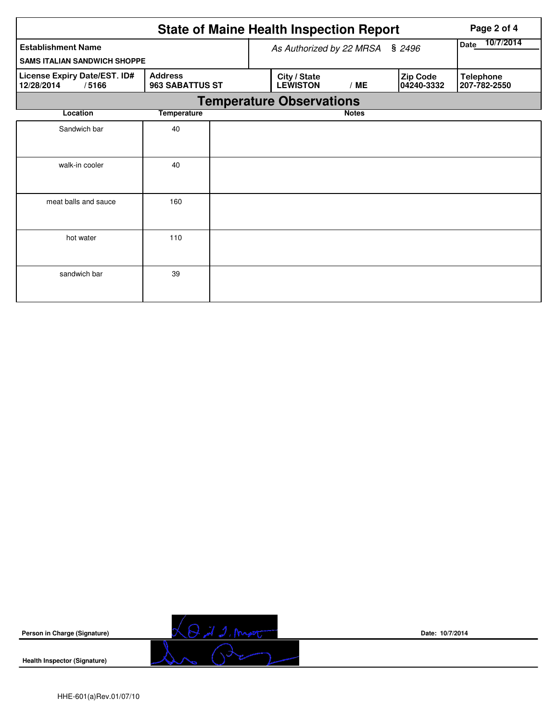|                                                     |                                   |  | <b>State of Maine Health Inspection Report</b> | Page 2 of 4              |                        |                                  |  |  |  |  |
|-----------------------------------------------------|-----------------------------------|--|------------------------------------------------|--------------------------|------------------------|----------------------------------|--|--|--|--|
| <b>Establishment Name</b>                           |                                   |  | As Authorized by 22 MRSA                       | 10/7/2014<br><b>Date</b> |                        |                                  |  |  |  |  |
| <b>SAMS ITALIAN SANDWICH SHOPPE</b>                 |                                   |  |                                                |                          |                        |                                  |  |  |  |  |
| License Expiry Date/EST. ID#<br>12/28/2014<br>/5166 | <b>Address</b><br>963 SABATTUS ST |  | City / State<br><b>LEWISTON</b>                | /ME                      | Zip Code<br>04240-3332 | <b>Telephone</b><br>207-782-2550 |  |  |  |  |
| <b>Temperature Observations</b>                     |                                   |  |                                                |                          |                        |                                  |  |  |  |  |
| Location                                            | <b>Temperature</b>                |  |                                                | <b>Notes</b>             |                        |                                  |  |  |  |  |
| Sandwich bar                                        | 40                                |  |                                                |                          |                        |                                  |  |  |  |  |
| walk-in cooler                                      | 40                                |  |                                                |                          |                        |                                  |  |  |  |  |
| meat balls and sauce                                | 160                               |  |                                                |                          |                        |                                  |  |  |  |  |
| hot water                                           | 110                               |  |                                                |                          |                        |                                  |  |  |  |  |
| sandwich bar                                        | 39                                |  |                                                |                          |                        |                                  |  |  |  |  |

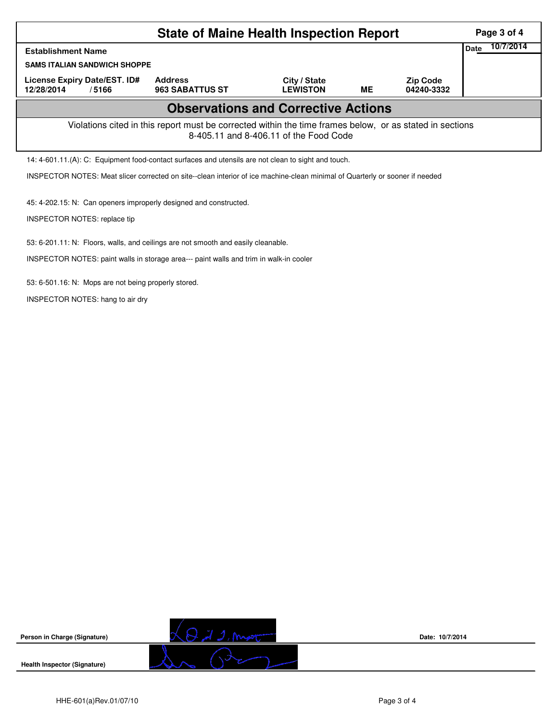|                                                                                                                                                    | Page 3 of 4                  |                                          |                                 |    |                               |  |  |  |  |  |
|----------------------------------------------------------------------------------------------------------------------------------------------------|------------------------------|------------------------------------------|---------------------------------|----|-------------------------------|--|--|--|--|--|
| <b>Establishment Name</b>                                                                                                                          | 10/7/2014<br><b>Date</b>     |                                          |                                 |    |                               |  |  |  |  |  |
| <b>SAMS ITALIAN SANDWICH SHOPPE</b>                                                                                                                |                              |                                          |                                 |    |                               |  |  |  |  |  |
| License Expiry Date/EST. ID#<br>12/28/2014                                                                                                         | /5166                        | <b>Address</b><br><b>963 SABATTUS ST</b> | City / State<br><b>LEWISTON</b> | MЕ | <b>Zip Code</b><br>04240-3332 |  |  |  |  |  |
| <b>Observations and Corrective Actions</b>                                                                                                         |                              |                                          |                                 |    |                               |  |  |  |  |  |
| Violations cited in this report must be corrected within the time frames below, or as stated in sections<br>8-405.11 and 8-406.11 of the Food Code |                              |                                          |                                 |    |                               |  |  |  |  |  |
| 14: 4-601.11.(A): C: Equipment food-contact surfaces and utensils are not clean to sight and touch.                                                |                              |                                          |                                 |    |                               |  |  |  |  |  |
| INSPECTOR NOTES: Meat slicer corrected on site--clean interior of ice machine-clean minimal of Quarterly or sooner if needed                       |                              |                                          |                                 |    |                               |  |  |  |  |  |
| 45: 4-202.15: N: Can openers improperly designed and constructed.                                                                                  |                              |                                          |                                 |    |                               |  |  |  |  |  |
|                                                                                                                                                    | INSPECTOR NOTES: replace tip |                                          |                                 |    |                               |  |  |  |  |  |
|                                                                                                                                                    |                              |                                          |                                 |    |                               |  |  |  |  |  |

53: 6-201.11: N: Floors, walls, and ceilings are not smooth and easily cleanable.

INSPECTOR NOTES: paint walls in storage area--- paint walls and trim in walk-in cooler

53: 6-501.16: N: Mops are not being properly stored.

INSPECTOR NOTES: hang to air dry